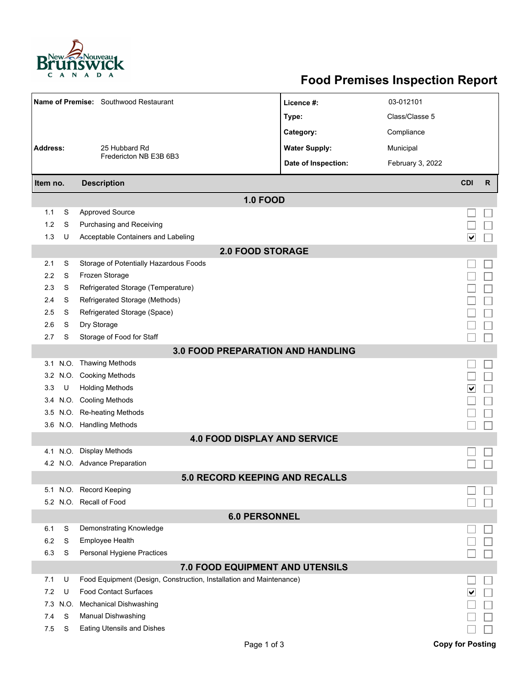

## **Food Premises Inspection Report**

| Name of Premise: Southwood Restaurant    |          |                                                                     | Licence #:           | 03-012101        |                                 |              |  |  |  |  |  |
|------------------------------------------|----------|---------------------------------------------------------------------|----------------------|------------------|---------------------------------|--------------|--|--|--|--|--|
|                                          |          |                                                                     | Type:                | Class/Classe 5   |                                 |              |  |  |  |  |  |
|                                          |          |                                                                     | Category:            | Compliance       |                                 |              |  |  |  |  |  |
| <b>Address:</b>                          |          | 25 Hubbard Rd                                                       | <b>Water Supply:</b> | Municipal        |                                 |              |  |  |  |  |  |
|                                          |          | Fredericton NB E3B 6B3                                              | Date of Inspection:  | February 3, 2022 |                                 |              |  |  |  |  |  |
|                                          |          |                                                                     |                      |                  |                                 |              |  |  |  |  |  |
| Item no.                                 |          | <b>Description</b>                                                  |                      |                  | <b>CDI</b>                      | $\mathsf{R}$ |  |  |  |  |  |
| <b>1.0 FOOD</b>                          |          |                                                                     |                      |                  |                                 |              |  |  |  |  |  |
| 1.1                                      | S        | <b>Approved Source</b>                                              |                      |                  |                                 |              |  |  |  |  |  |
| 1.2                                      | S        | Purchasing and Receiving                                            |                      |                  |                                 |              |  |  |  |  |  |
| 1.3                                      | U        | Acceptable Containers and Labeling                                  |                      |                  | $\overline{\blacktriangledown}$ |              |  |  |  |  |  |
| <b>2.0 FOOD STORAGE</b>                  |          |                                                                     |                      |                  |                                 |              |  |  |  |  |  |
| 2.1                                      | S        | Storage of Potentially Hazardous Foods                              |                      |                  |                                 |              |  |  |  |  |  |
| 2.2                                      | S        | Frozen Storage                                                      |                      |                  |                                 |              |  |  |  |  |  |
| 2.3                                      | S        | Refrigerated Storage (Temperature)                                  |                      |                  |                                 |              |  |  |  |  |  |
| 2.4                                      | S        | Refrigerated Storage (Methods)                                      |                      |                  |                                 |              |  |  |  |  |  |
| 2.5                                      | S        | Refrigerated Storage (Space)                                        |                      |                  |                                 |              |  |  |  |  |  |
| 2.6                                      | S        | Dry Storage                                                         |                      |                  |                                 |              |  |  |  |  |  |
| 2.7                                      | S        | Storage of Food for Staff                                           |                      |                  |                                 |              |  |  |  |  |  |
| <b>3.0 FOOD PREPARATION AND HANDLING</b> |          |                                                                     |                      |                  |                                 |              |  |  |  |  |  |
|                                          |          | 3.1 N.O. Thawing Methods                                            |                      |                  |                                 |              |  |  |  |  |  |
| 3.2                                      | N.O.     | <b>Cooking Methods</b>                                              |                      |                  |                                 |              |  |  |  |  |  |
| 3.3                                      | U        | <b>Holding Methods</b>                                              |                      |                  | ∣∨                              |              |  |  |  |  |  |
| 3.4                                      |          | N.O. Cooling Methods                                                |                      |                  |                                 |              |  |  |  |  |  |
| 3.5                                      |          | N.O. Re-heating Methods                                             |                      |                  |                                 |              |  |  |  |  |  |
|                                          |          | 3.6 N.O. Handling Methods                                           |                      |                  |                                 |              |  |  |  |  |  |
|                                          |          | <b>4.0 FOOD DISPLAY AND SERVICE</b>                                 |                      |                  |                                 |              |  |  |  |  |  |
|                                          | 4.1 N.O. | <b>Display Methods</b>                                              |                      |                  |                                 |              |  |  |  |  |  |
|                                          |          | 4.2 N.O. Advance Preparation                                        |                      |                  |                                 |              |  |  |  |  |  |
|                                          |          | <b>5.0 RECORD KEEPING AND RECALLS</b>                               |                      |                  |                                 |              |  |  |  |  |  |
|                                          |          | 5.1 N.O. Record Keeping                                             |                      |                  |                                 |              |  |  |  |  |  |
|                                          |          | 5.2 N.O. Recall of Food                                             |                      |                  |                                 |              |  |  |  |  |  |
| <b>6.0 PERSONNEL</b>                     |          |                                                                     |                      |                  |                                 |              |  |  |  |  |  |
| 6.1                                      | S        | Demonstrating Knowledge                                             |                      |                  |                                 |              |  |  |  |  |  |
| 6.2                                      | S        | Employee Health                                                     |                      |                  |                                 |              |  |  |  |  |  |
| 6.3                                      | S        | Personal Hygiene Practices                                          |                      |                  |                                 |              |  |  |  |  |  |
| 7.0 FOOD EQUIPMENT AND UTENSILS          |          |                                                                     |                      |                  |                                 |              |  |  |  |  |  |
| 7.1                                      | U        | Food Equipment (Design, Construction, Installation and Maintenance) |                      |                  |                                 |              |  |  |  |  |  |
| 7.2                                      | U        | <b>Food Contact Surfaces</b>                                        |                      |                  | ∣V                              |              |  |  |  |  |  |
| 7.3                                      | N.O.     | <b>Mechanical Dishwashing</b>                                       |                      |                  |                                 |              |  |  |  |  |  |
| 7.4                                      | S        | Manual Dishwashing                                                  |                      |                  |                                 |              |  |  |  |  |  |
| 7.5                                      | S        | <b>Eating Utensils and Dishes</b>                                   |                      |                  |                                 |              |  |  |  |  |  |
|                                          |          | Page 1 of 3                                                         |                      |                  | <b>Copy for Posting</b>         |              |  |  |  |  |  |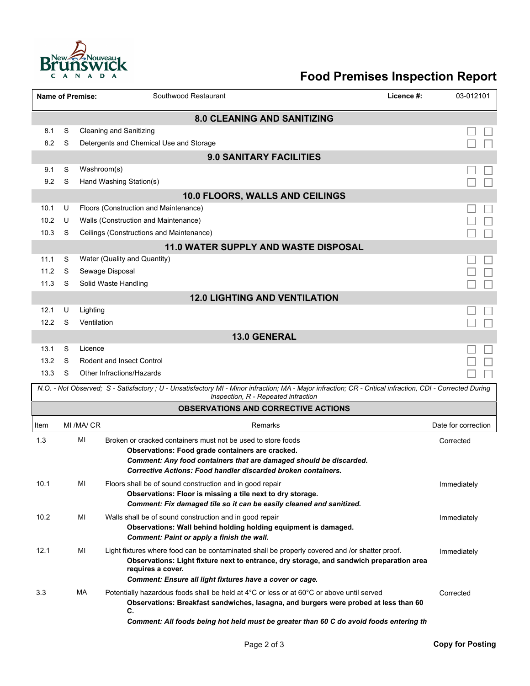

## **Food Premises Inspection Report**

|                                                                                                                                                                                                  |   | <b>Name of Premise:</b> | Southwood Restaurant                                                                                                                                                                                                                                                              | Licence #: | 03-012101           |  |  |  |
|--------------------------------------------------------------------------------------------------------------------------------------------------------------------------------------------------|---|-------------------------|-----------------------------------------------------------------------------------------------------------------------------------------------------------------------------------------------------------------------------------------------------------------------------------|------------|---------------------|--|--|--|
| <b>8.0 CLEANING AND SANITIZING</b>                                                                                                                                                               |   |                         |                                                                                                                                                                                                                                                                                   |            |                     |  |  |  |
| 8.1                                                                                                                                                                                              | S |                         | <b>Cleaning and Sanitizing</b>                                                                                                                                                                                                                                                    |            |                     |  |  |  |
| 8.2                                                                                                                                                                                              | S |                         | Detergents and Chemical Use and Storage                                                                                                                                                                                                                                           |            |                     |  |  |  |
| <b>9.0 SANITARY FACILITIES</b>                                                                                                                                                                   |   |                         |                                                                                                                                                                                                                                                                                   |            |                     |  |  |  |
| 9.1                                                                                                                                                                                              | S | Washroom(s)             |                                                                                                                                                                                                                                                                                   |            |                     |  |  |  |
| 9.2                                                                                                                                                                                              | S |                         | Hand Washing Station(s)                                                                                                                                                                                                                                                           |            |                     |  |  |  |
|                                                                                                                                                                                                  |   |                         | 10.0 FLOORS, WALLS AND CEILINGS                                                                                                                                                                                                                                                   |            |                     |  |  |  |
| 10.1                                                                                                                                                                                             | U |                         | Floors (Construction and Maintenance)                                                                                                                                                                                                                                             |            |                     |  |  |  |
| 10.2                                                                                                                                                                                             | U |                         | Walls (Construction and Maintenance)                                                                                                                                                                                                                                              |            |                     |  |  |  |
| 10.3                                                                                                                                                                                             | S |                         | Ceilings (Constructions and Maintenance)                                                                                                                                                                                                                                          |            |                     |  |  |  |
|                                                                                                                                                                                                  |   |                         | <b>11.0 WATER SUPPLY AND WASTE DISPOSAL</b>                                                                                                                                                                                                                                       |            |                     |  |  |  |
| 11.1                                                                                                                                                                                             | S |                         | Water (Quality and Quantity)                                                                                                                                                                                                                                                      |            |                     |  |  |  |
| 11.2                                                                                                                                                                                             | S |                         | Sewage Disposal                                                                                                                                                                                                                                                                   |            |                     |  |  |  |
| 11.3                                                                                                                                                                                             | S |                         | Solid Waste Handling                                                                                                                                                                                                                                                              |            |                     |  |  |  |
| 12.1                                                                                                                                                                                             | U |                         | <b>12.0 LIGHTING AND VENTILATION</b>                                                                                                                                                                                                                                              |            |                     |  |  |  |
| 12.2                                                                                                                                                                                             | S | Lighting<br>Ventilation |                                                                                                                                                                                                                                                                                   |            |                     |  |  |  |
|                                                                                                                                                                                                  |   |                         | 13.0 GENERAL                                                                                                                                                                                                                                                                      |            |                     |  |  |  |
| 13.1                                                                                                                                                                                             | S | Licence                 |                                                                                                                                                                                                                                                                                   |            |                     |  |  |  |
| 13.2                                                                                                                                                                                             | S |                         | <b>Rodent and Insect Control</b>                                                                                                                                                                                                                                                  |            |                     |  |  |  |
| 13.3                                                                                                                                                                                             | S |                         | Other Infractions/Hazards                                                                                                                                                                                                                                                         |            |                     |  |  |  |
| N.O. - Not Observed; S - Satisfactory ; U - Unsatisfactory MI - Minor infraction; MA - Major infraction; CR - Critical infraction, CDI - Corrected During<br>Inspection, R - Repeated infraction |   |                         |                                                                                                                                                                                                                                                                                   |            |                     |  |  |  |
|                                                                                                                                                                                                  |   |                         | <b>OBSERVATIONS AND CORRECTIVE ACTIONS</b>                                                                                                                                                                                                                                        |            |                     |  |  |  |
| Item                                                                                                                                                                                             |   | MI/MA/CR                | Remarks                                                                                                                                                                                                                                                                           |            | Date for correction |  |  |  |
| 1.3                                                                                                                                                                                              |   | MI                      | Broken or cracked containers must not be used to store foods                                                                                                                                                                                                                      |            | Corrected           |  |  |  |
|                                                                                                                                                                                                  |   |                         | Observations: Food grade containers are cracked.                                                                                                                                                                                                                                  |            |                     |  |  |  |
|                                                                                                                                                                                                  |   |                         | Comment: Any food containers that are damaged should be discarded.<br>Corrective Actions: Food handler discarded broken containers.                                                                                                                                               |            |                     |  |  |  |
| 10.1                                                                                                                                                                                             |   | MI                      | Floors shall be of sound construction and in good repair                                                                                                                                                                                                                          |            | Immediately         |  |  |  |
|                                                                                                                                                                                                  |   |                         | Observations: Floor is missing a tile next to dry storage.                                                                                                                                                                                                                        |            |                     |  |  |  |
|                                                                                                                                                                                                  |   |                         | Comment: Fix damaged tile so it can be easily cleaned and sanitized.                                                                                                                                                                                                              |            |                     |  |  |  |
| 10.2                                                                                                                                                                                             |   | MI                      | Walls shall be of sound construction and in good repair                                                                                                                                                                                                                           |            | Immediately         |  |  |  |
|                                                                                                                                                                                                  |   |                         | Observations: Wall behind holding holding equipment is damaged.                                                                                                                                                                                                                   |            |                     |  |  |  |
|                                                                                                                                                                                                  |   |                         | Comment: Paint or apply a finish the wall.                                                                                                                                                                                                                                        |            |                     |  |  |  |
| 12.1                                                                                                                                                                                             |   | MI                      | Light fixtures where food can be contaminated shall be properly covered and /or shatter proof.<br>Observations: Light fixture next to entrance, dry storage, and sandwich preparation area<br>requires a cover.                                                                   |            | Immediately         |  |  |  |
|                                                                                                                                                                                                  |   |                         | Comment: Ensure all light fixtures have a cover or cage.                                                                                                                                                                                                                          |            |                     |  |  |  |
| 3.3                                                                                                                                                                                              |   | МA                      | Potentially hazardous foods shall be held at 4°C or less or at 60°C or above until served<br>Observations: Breakfast sandwiches, lasagna, and burgers were probed at less than 60<br>C.<br>Comment: All foods being hot held must be greater than 60 C do avoid foods entering th |            | Corrected           |  |  |  |